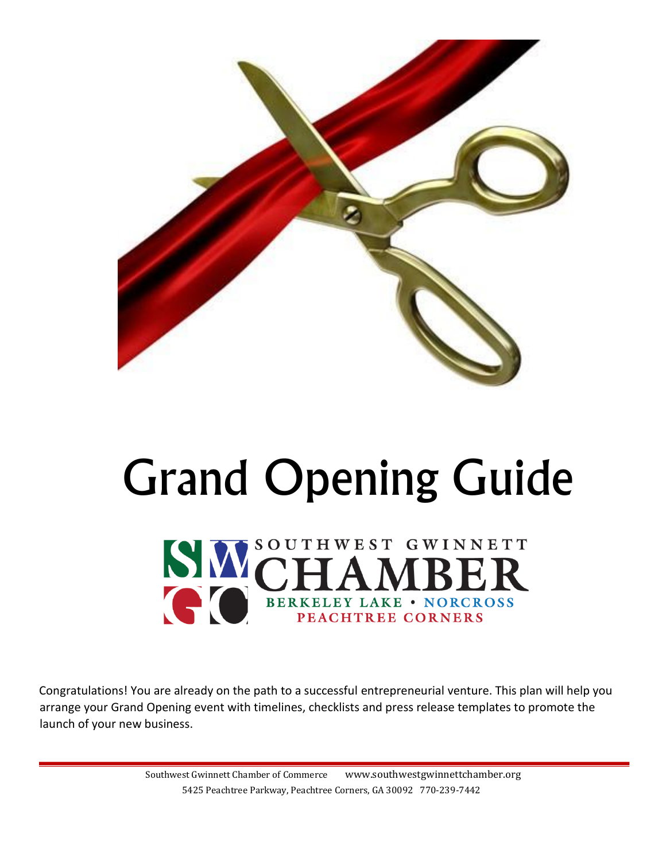

# Grand Opening Guide



Congratulations! You are already on the path to a successful entrepreneurial venture. This plan will help you arrange your Grand Opening event with timelines, checklists and press release templates to promote the launch of your new business.

> Southwest Gwinnett Chamber of Commerce www.southwestgwinnettchamber.org 5425 Peachtree Parkway, Peachtree Corners, GA 30092 770-239-7442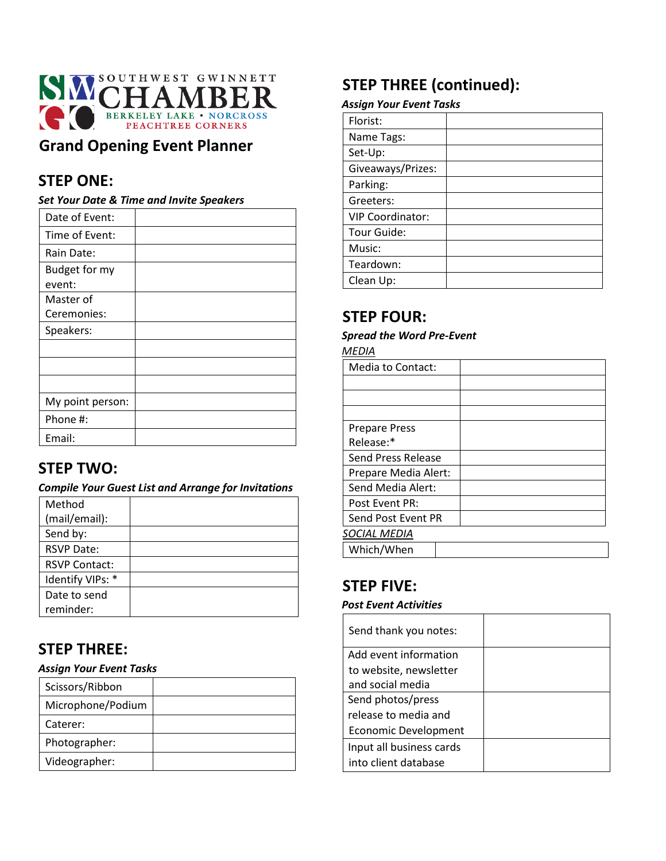

## **Grand Opening Event Planner**

## **STEP ONE:**

#### *Set Your Date & Time and Invite Speakers*

| Date of Event:          |  |
|-------------------------|--|
| Time of Event:          |  |
| Rain Date:              |  |
| Budget for my<br>event: |  |
| Master of               |  |
| Ceremonies:             |  |
| Speakers:               |  |
|                         |  |
|                         |  |
|                         |  |
| My point person:        |  |
| Phone #:                |  |
| Email:                  |  |

## **STEP TWO:**

#### *Compile Your Guest List and Arrange for Invitations*

| Method               |  |
|----------------------|--|
| (mail/email):        |  |
| Send by:             |  |
| <b>RSVP Date:</b>    |  |
| <b>RSVP Contact:</b> |  |
| Identify VIPs: *     |  |
| Date to send         |  |
| reminder:            |  |

## **STEP THREE:**

#### *Assign Your Event Tasks*

| Scissors/Ribbon   |  |
|-------------------|--|
| Microphone/Podium |  |
| Caterer:          |  |
| Photographer:     |  |
| Videographer:     |  |

## **STEP THREE (continued):**

#### *Assign Your Event Tasks*

| Florist:                |  |
|-------------------------|--|
| Name Tags:              |  |
| Set-Up:                 |  |
| Giveaways/Prizes:       |  |
| Parking:                |  |
| Greeters:               |  |
| <b>VIP Coordinator:</b> |  |
| Tour Guide:             |  |
| Music:                  |  |
| Teardown:               |  |
| Clean Up:               |  |

## **STEP FOUR:**

#### *Spread the Word Pre-Event*

*MEDIA*

| Media to Contact:    |  |
|----------------------|--|
|                      |  |
|                      |  |
|                      |  |
| <b>Prepare Press</b> |  |
| Release:*            |  |
| Send Press Release   |  |
| Prepare Media Alert: |  |
| Send Media Alert:    |  |
| Post Event PR:       |  |
| Send Post Event PR   |  |
| SOCIAL MEDIA         |  |
| Which/When           |  |

## **STEP FIVE:**

#### *Post Event Activities*

| Send thank you notes:    |  |
|--------------------------|--|
| Add event information    |  |
| to website, newsletter   |  |
| and social media         |  |
| Send photos/press        |  |
| release to media and     |  |
| Economic Development     |  |
| Input all business cards |  |
| into client database     |  |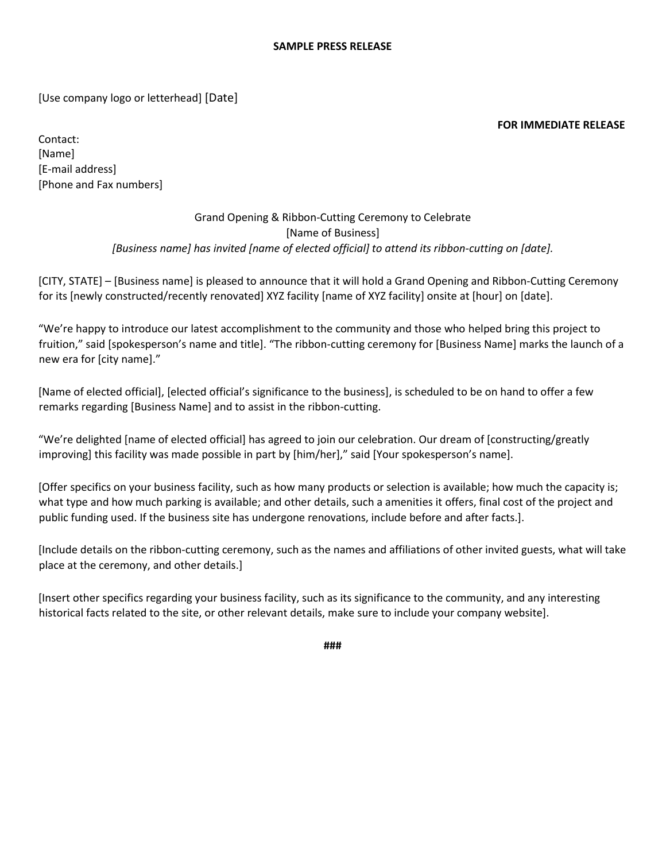[Use company logo or letterhead] [Date]

#### **FOR IMMEDIATE RELEASE**

Contact: [Name] [E-mail address] [Phone and Fax numbers]

#### Grand Opening & Ribbon-Cutting Ceremony to Celebrate [Name of Business] *[Business name] has invited [name of elected official] to attend its ribbon-cutting on [date].*

[CITY, STATE] – [Business name] is pleased to announce that it will hold a Grand Opening and Ribbon-Cutting Ceremony for its [newly constructed/recently renovated] XYZ facility [name of XYZ facility] onsite at [hour] on [date].

"We're happy to introduce our latest accomplishment to the community and those who helped bring this project to fruition," said [spokesperson's name and title]. "The ribbon-cutting ceremony for [Business Name] marks the launch of a new era for [city name]."

[Name of elected official], [elected official's significance to the business], is scheduled to be on hand to offer a few remarks regarding [Business Name] and to assist in the ribbon-cutting.

"We're delighted [name of elected official] has agreed to join our celebration. Our dream of [constructing/greatly improving] this facility was made possible in part by [him/her]," said [Your spokesperson's name].

[Offer specifics on your business facility, such as how many products or selection is available; how much the capacity is; what type and how much parking is available; and other details, such a amenities it offers, final cost of the project and public funding used. If the business site has undergone renovations, include before and after facts.].

[Include details on the ribbon-cutting ceremony, such as the names and affiliations of other invited guests, what will take place at the ceremony, and other details.]

[Insert other specifics regarding your business facility, such as its significance to the community, and any interesting historical facts related to the site, or other relevant details, make sure to include your company website].

**###**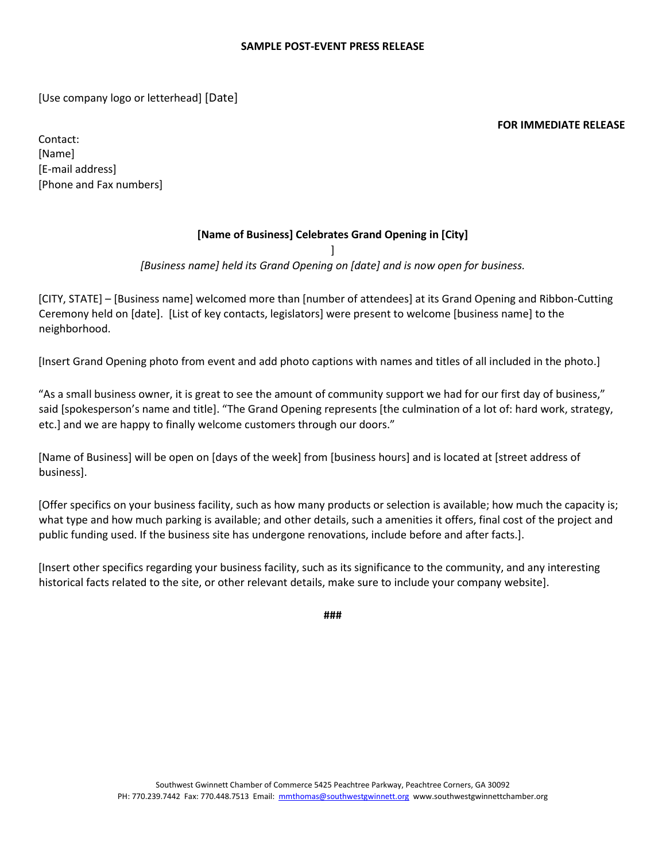[Use company logo or letterhead] [Date]

**FOR IMMEDIATE RELEASE** 

Contact: [Name] [E-mail address] [Phone and Fax numbers]

#### **[Name of Business] Celebrates Grand Opening in [City]**

]

*[Business name] held its Grand Opening on [date] and is now open for business.* 

[CITY, STATE] – [Business name] welcomed more than [number of attendees] at its Grand Opening and Ribbon-Cutting Ceremony held on [date]. [List of key contacts, legislators] were present to welcome [business name] to the neighborhood.

[Insert Grand Opening photo from event and add photo captions with names and titles of all included in the photo.]

"As a small business owner, it is great to see the amount of community support we had for our first day of business," said [spokesperson's name and title]. "The Grand Opening represents [the culmination of a lot of: hard work, strategy, etc.] and we are happy to finally welcome customers through our doors."

[Name of Business] will be open on [days of the week] from [business hours] and is located at [street address of business].

[Offer specifics on your business facility, such as how many products or selection is available; how much the capacity is; what type and how much parking is available; and other details, such a amenities it offers, final cost of the project and public funding used. If the business site has undergone renovations, include before and after facts.].

[Insert other specifics regarding your business facility, such as its significance to the community, and any interesting historical facts related to the site, or other relevant details, make sure to include your company website].

**###**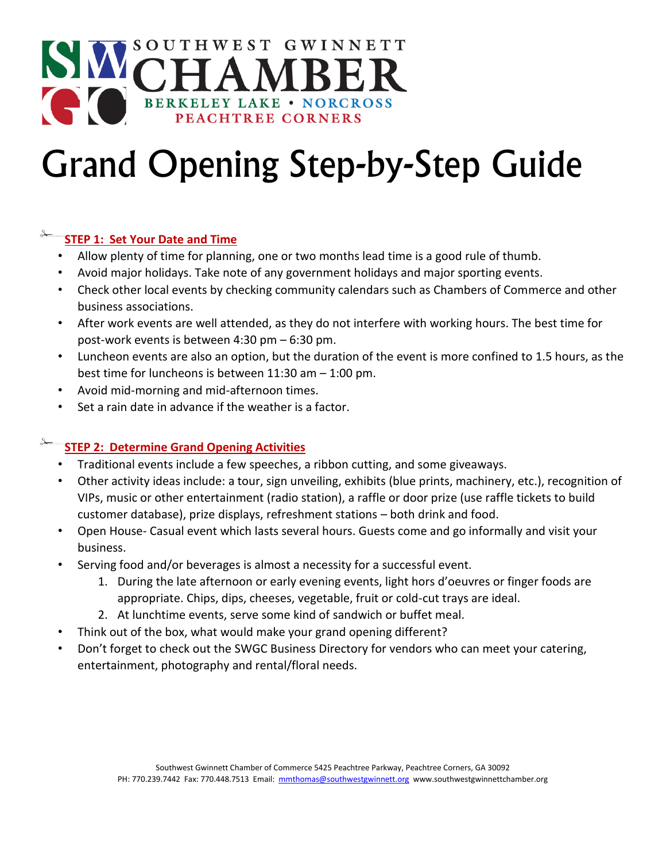## SOUTHWEST GWINNETT BERKELEY LAKE • NORCROSS

## Grand Opening Step-by-Step Guide

#### **STEP 1: Set Your Date and Time**

- Allow plenty of time for planning, one or two months lead time is a good rule of thumb.
- Avoid major holidays. Take note of any government holidays and major sporting events.
- Check other local events by checking community calendars such as Chambers of Commerce and other business associations.
- After work events are well attended, as they do not interfere with working hours. The best time for post-work events is between 4:30 pm – 6:30 pm.
- Luncheon events are also an option, but the duration of the event is more confined to 1.5 hours, as the best time for luncheons is between 11:30 am – 1:00 pm.
- Avoid mid-morning and mid-afternoon times.
- Set a rain date in advance if the weather is a factor.

#### **STEP 2: Determine Grand Opening Activities**

- Traditional events include a few speeches, a ribbon cutting, and some giveaways.
- Other activity ideas include: a tour, sign unveiling, exhibits (blue prints, machinery, etc.), recognition of VIPs, music or other entertainment (radio station), a raffle or door prize (use raffle tickets to build customer database), prize displays, refreshment stations – both drink and food.
- Open House- Casual event which lasts several hours. Guests come and go informally and visit your business.
- Serving food and/or beverages is almost a necessity for a successful event.
	- 1. During the late afternoon or early evening events, light hors d'oeuvres or finger foods are appropriate. Chips, dips, cheeses, vegetable, fruit or cold-cut trays are ideal.
	- 2. At lunchtime events, serve some kind of sandwich or buffet meal.
- Think out of the box, what would make your grand opening different?
- Don't forget to check out the SWGC Business Directory for vendors who can meet your catering, entertainment, photography and rental/floral needs.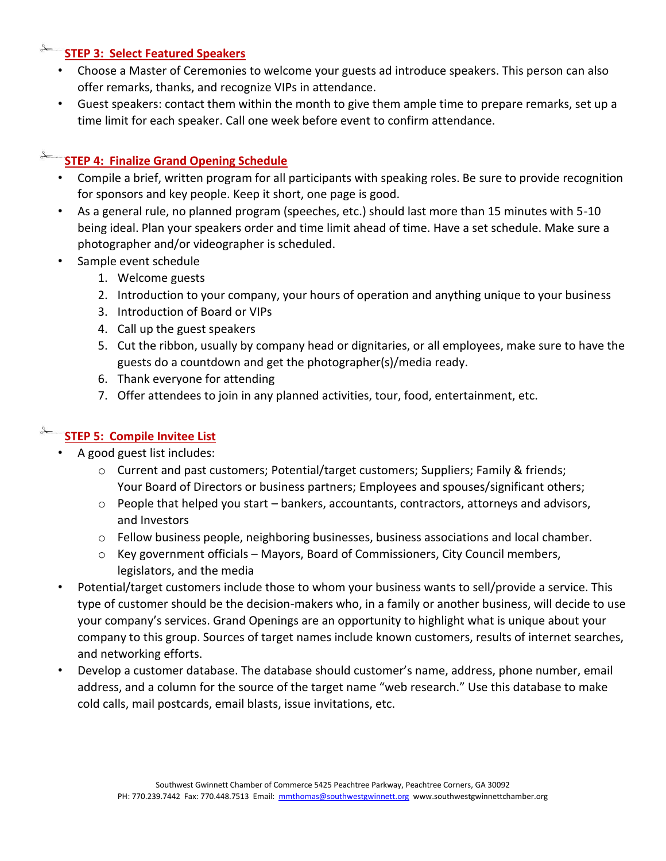#### **STEP 3: Select Featured Speakers**

- Choose a Master of Ceremonies to welcome your guests ad introduce speakers. This person can also offer remarks, thanks, and recognize VIPs in attendance.
- Guest speakers: contact them within the month to give them ample time to prepare remarks, set up a time limit for each speaker. Call one week before event to confirm attendance.

#### **STEP 4: Finalize Grand Opening Schedule**

- Compile a brief, written program for all participants with speaking roles. Be sure to provide recognition for sponsors and key people. Keep it short, one page is good.
- As a general rule, no planned program (speeches, etc.) should last more than 15 minutes with 5-10 being ideal. Plan your speakers order and time limit ahead of time. Have a set schedule. Make sure a photographer and/or videographer is scheduled.
- Sample event schedule
	- 1. Welcome guests
	- 2. Introduction to your company, your hours of operation and anything unique to your business
	- 3. Introduction of Board or VIPs
	- 4. Call up the guest speakers
	- 5. Cut the ribbon, usually by company head or dignitaries, or all employees, make sure to have the guests do a countdown and get the photographer(s)/media ready.
	- 6. Thank everyone for attending
	- 7. Offer attendees to join in any planned activities, tour, food, entertainment, etc.

#### **STEP 5: Compile Invitee List**

- A good guest list includes:
	- o Current and past customers; Potential/target customers; Suppliers; Family & friends; Your Board of Directors or business partners; Employees and spouses/significant others;
	- $\circ$  People that helped you start bankers, accountants, contractors, attorneys and advisors, and Investors
	- o Fellow business people, neighboring businesses, business associations and local chamber.
	- o Key government officials Mayors, Board of Commissioners, City Council members, legislators, and the media
- Potential/target customers include those to whom your business wants to sell/provide a service. This type of customer should be the decision-makers who, in a family or another business, will decide to use your company's services. Grand Openings are an opportunity to highlight what is unique about your company to this group. Sources of target names include known customers, results of internet searches, and networking efforts.
- Develop a customer database. The database should customer's name, address, phone number, email address, and a column for the source of the target name "web research." Use this database to make cold calls, mail postcards, email blasts, issue invitations, etc.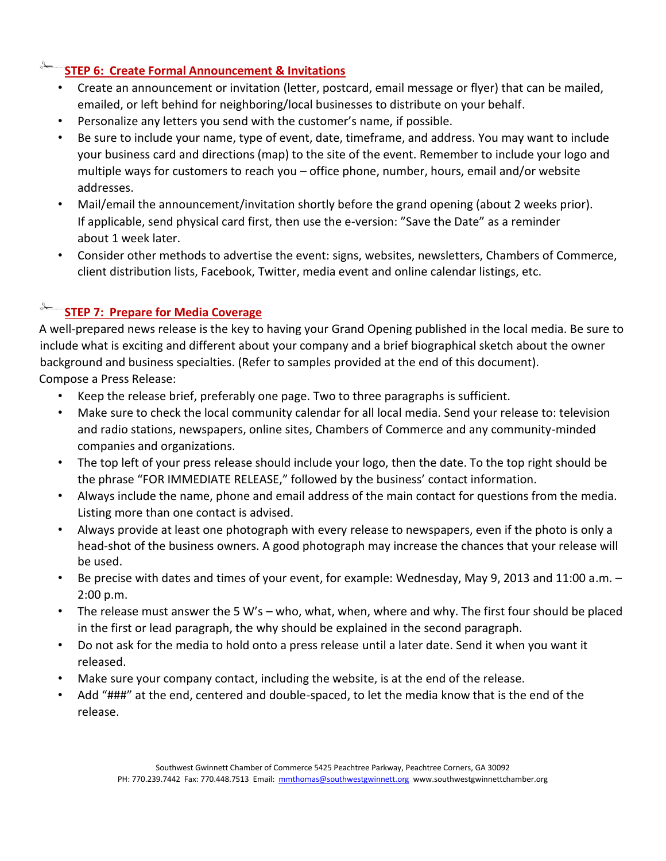#### **STEP 6: Create Formal Announcement & Invitations**

- Create an announcement or invitation (letter, postcard, email message or flyer) that can be mailed, emailed, or left behind for neighboring/local businesses to distribute on your behalf.
- Personalize any letters you send with the customer's name, if possible.
- Be sure to include your name, type of event, date, timeframe, and address. You may want to include your business card and directions (map) to the site of the event. Remember to include your logo and multiple ways for customers to reach you – office phone, number, hours, email and/or website addresses.
- Mail/email the announcement/invitation shortly before the grand opening (about 2 weeks prior). If applicable, send physical card first, then use the e-version: "Save the Date" as a reminder about 1 week later.
- Consider other methods to advertise the event: signs, websites, newsletters, Chambers of Commerce, client distribution lists, Facebook, Twitter, media event and online calendar listings, etc.

### **STEP 7: Prepare for Media Coverage**

A well-prepared news release is the key to having your Grand Opening published in the local media. Be sure to include what is exciting and different about your company and a brief biographical sketch about the owner background and business specialties. (Refer to samples provided at the end of this document). Compose a Press Release:

- Keep the release brief, preferably one page. Two to three paragraphs is sufficient.
- Make sure to check the local community calendar for all local media. Send your release to: television and radio stations, newspapers, online sites, Chambers of Commerce and any community-minded companies and organizations.
- The top left of your press release should include your logo, then the date. To the top right should be the phrase "FOR IMMEDIATE RELEASE," followed by the business' contact information.
- Always include the name, phone and email address of the main contact for questions from the media. Listing more than one contact is advised.
- Always provide at least one photograph with every release to newspapers, even if the photo is only a head-shot of the business owners. A good photograph may increase the chances that your release will be used.
- Be precise with dates and times of your event, for example: Wednesday, May 9, 2013 and 11:00 a.m. 2:00 p.m.
- The release must answer the 5 W's who, what, when, where and why. The first four should be placed in the first or lead paragraph, the why should be explained in the second paragraph.
- Do not ask for the media to hold onto a press release until a later date. Send it when you want it released.
- Make sure your company contact, including the website, is at the end of the release.
- Add "###" at the end, centered and double-spaced, to let the media know that is the end of the release.